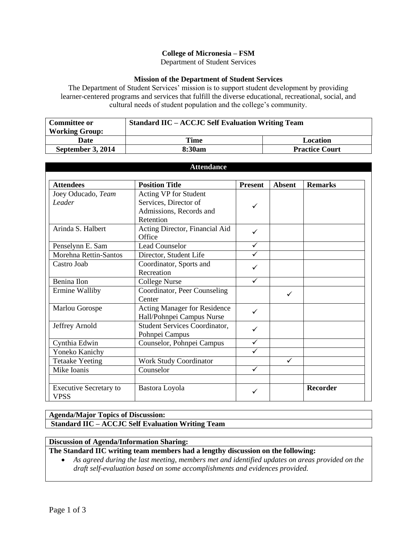## **College of Micronesia – FSM**

Department of Student Services

#### **Mission of the Department of Student Services**

The Department of Student Services' mission is to support student development by providing learner-centered programs and services that fulfill the diverse educational, recreational, social, and cultural needs of student population and the college's community.

| <b>Committee or</b>   | <b>Standard IIC – ACCJC Self Evaluation Writing Team</b> |                       |  |
|-----------------------|----------------------------------------------------------|-----------------------|--|
| <b>Working Group:</b> |                                                          |                       |  |
| <b>Date</b>           | Time                                                     | Location              |  |
| September 3, 2014     | 8:30am                                                   | <b>Practice Court</b> |  |

| <b>Attendance</b>                     |                                      |                |               |                 |
|---------------------------------------|--------------------------------------|----------------|---------------|-----------------|
| <b>Attendees</b>                      | <b>Position Title</b>                | <b>Present</b> | <b>Absent</b> | <b>Remarks</b>  |
| Joey Oducado, Team                    | Acting VP for Student                | ✓              |               |                 |
| Leader                                | Services, Director of                |                |               |                 |
|                                       | Admissions, Records and              |                |               |                 |
|                                       | Retention                            |                |               |                 |
| Arinda S. Halbert                     | Acting Director, Financial Aid       | ✓              |               |                 |
|                                       | Office                               |                |               |                 |
| Penselynn E. Sam                      | <b>Lead Counselor</b>                | ✓              |               |                 |
| Morehna Rettin-Santos                 | Director, Student Life               | ✓              |               |                 |
| Castro Joab                           | Coordinator, Sports and              | ✓              |               |                 |
|                                       | Recreation                           |                |               |                 |
| Benina Ilon                           | <b>College Nurse</b>                 | ✓              |               |                 |
| Ermine Walliby                        | Coordinator, Peer Counseling         | ✓              |               |                 |
|                                       | Center                               |                |               |                 |
| Marlou Gorospe                        | Acting Manager for Residence         | ✓              |               |                 |
|                                       | Hall/Pohnpei Campus Nurse            |                |               |                 |
| Jeffrey Arnold                        | <b>Student Services Coordinator,</b> | ✓              |               |                 |
|                                       | Pohnpei Campus                       |                |               |                 |
| Cynthia Edwin                         | Counselor, Pohnpei Campus            | $\checkmark$   |               |                 |
| Yoneko Kanichy                        |                                      | ✓              |               |                 |
| <b>Tetaake Yeeting</b>                | <b>Work Study Coordinator</b>        |                | ✓             |                 |
| Mike Ioanis                           | Counselor                            |                |               |                 |
|                                       |                                      |                |               |                 |
| <b>Executive Secretary to</b><br>VPSS | Bastora Loyola                       |                |               | <b>Recorder</b> |

### **Agenda/Major Topics of Discussion:**

# **Standard IIC – ACCJC Self Evaluation Writing Team**

### **Discussion of Agenda/Information Sharing:**

**The Standard IIC writing team members had a lengthy discussion on the following:**

 *As agreed during the last meeting, members met and identified updates on areas provided on the draft self-evaluation based on some accomplishments and evidences provided.*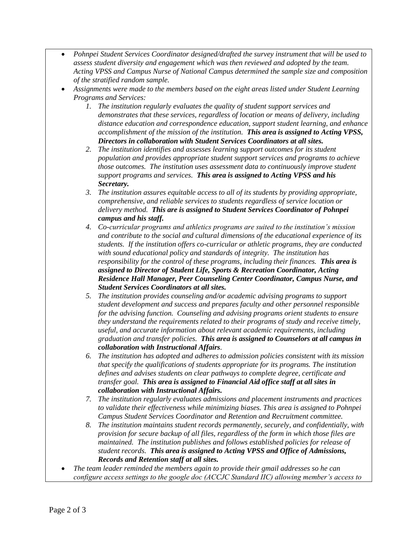- *Pohnpei Student Services Coordinator designed/drafted the survey instrument that will be used to assess student diversity and engagement which was then reviewed and adopted by the team. Acting VPSS and Campus Nurse of National Campus determined the sample size and composition of the stratified random sample.*
- *Assignments were made to the members based on the eight areas listed under Student Learning Programs and Services:*
	- *1. The institution regularly evaluates the quality of student support services and demonstrates that these services, regardless of location or means of delivery, including distance education and correspondence education, support student learning, and enhance accomplishment of the mission of the institution. This area is assigned to Acting VPSS, Directors in collaboration with Student Services Coordinators at all sites.*
	- *2. The institution identifies and assesses learning support outcomes for its student population and provides appropriate student support services and programs to achieve those outcomes. The institution uses assessment data to continuously improve student support programs and services. This area is assigned to Acting VPSS and his Secretary.*
	- *3. The institution assures equitable access to all of its students by providing appropriate, comprehensive, and reliable services to students regardless of service location or delivery method. This are is assigned to Student Services Coordinator of Pohnpei campus and his staff.*
	- *4. Co-curricular programs and athletics programs are suited to the institution's mission and contribute to the social and cultural dimensions of the educational experience of its students. If the institution offers co-curricular or athletic programs, they are conducted with sound educational policy and standards of integrity. The institution has responsibility for the control of these programs, including their finances. This area is assigned to Director of Student Life, Sports & Recreation Coordinator, Acting Residence Hall Manager, Peer Counseling Center Coordinator, Campus Nurse, and Student Services Coordinators at all sites.*
	- *5. The institution provides counseling and/or academic advising programs to support student development and success and prepares faculty and other personnel responsible for the advising function. Counseling and advising programs orient students to ensure they understand the requirements related to their programs of study and receive timely, useful, and accurate information about relevant academic requirements, including graduation and transfer policies. This area is assigned to Counselors at all campus in collaboration with Instructional Affairs.*
	- *6. The institution has adopted and adheres to admission policies consistent with its mission that specify the qualifications of students appropriate for its programs. The institution defines and advises students on clear pathways to complete degree, certificate and transfer goal. This area is assigned to Financial Aid office staff at all sites in collaboration with Instructional Affairs.*
	- *7. The institution regularly evaluates admissions and placement instruments and practices to validate their effectiveness while minimizing biases. This area is assigned to Pohnpei Campus Student Services Coordinator and Retention and Recruitment committee.*
	- *8. The institution maintains student records permanently, securely, and confidentially, with provision for secure backup of all files, regardless of the form in which those files are maintained. The institution publishes and follows established policies for release of student records. This area is assigned to Acting VPSS and Office of Admissions, Records and Retention staff at all sites.*
- *The team leader reminded the members again to provide their gmail addresses so he can configure access settings to the google doc (ACCJC Standard IIC) allowing member's access to*